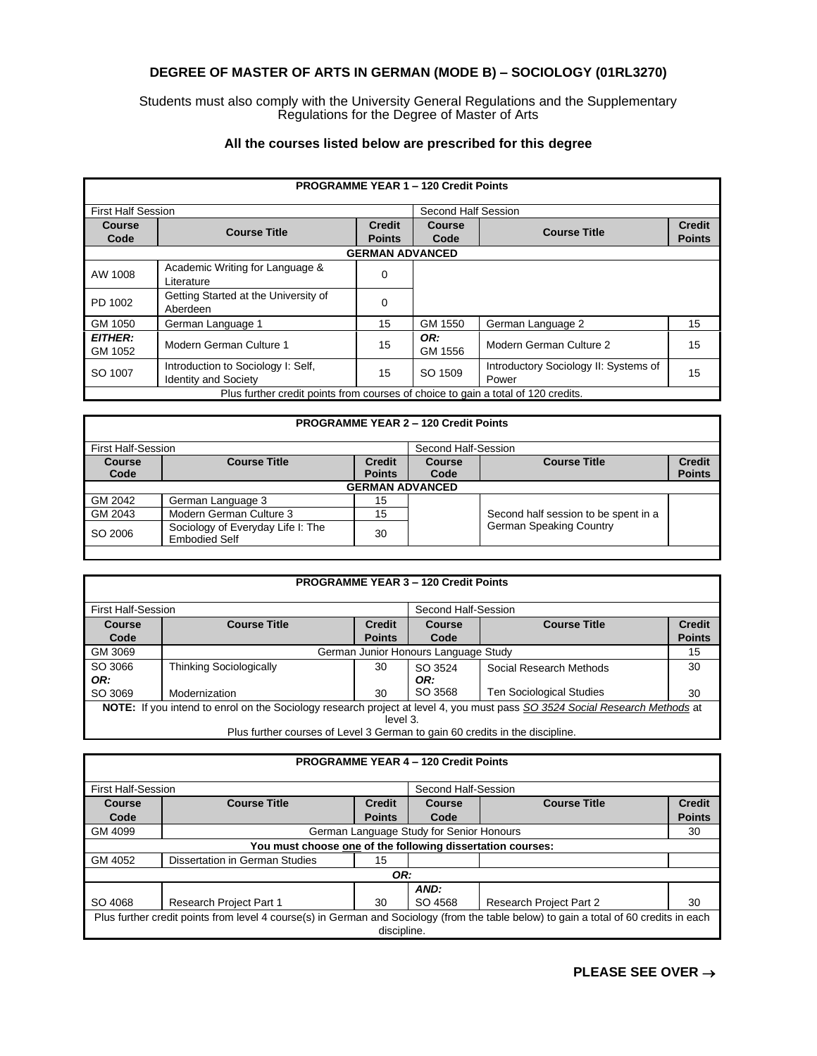## **DEGREE OF MASTER OF ARTS IN GERMAN (MODE B) – SOCIOLOGY (01RL3270)**

Students must also comply with the University General Regulations and the Supplementary Regulations for the Degree of Master of Arts

## **All the courses listed below are prescribed for this degree**

|                           |                                                                                   |                                | <b>PROGRAMME YEAR 1 - 120 Credit Points</b> |                                                |                                |
|---------------------------|-----------------------------------------------------------------------------------|--------------------------------|---------------------------------------------|------------------------------------------------|--------------------------------|
| <b>First Half Session</b> |                                                                                   | Second Half Session            |                                             |                                                |                                |
| <b>Course</b><br>Code     | <b>Course Title</b>                                                               | <b>Credit</b><br><b>Points</b> | <b>Course</b><br>Code                       | <b>Course Title</b>                            | <b>Credit</b><br><b>Points</b> |
| <b>GERMAN ADVANCED</b>    |                                                                                   |                                |                                             |                                                |                                |
| AW 1008                   | Academic Writing for Language &<br>Literature                                     | 0                              |                                             |                                                |                                |
| PD 1002                   | Getting Started at the University of<br>Aberdeen                                  | $\Omega$                       |                                             |                                                |                                |
| GM 1050                   | German Language 1                                                                 | 15                             | GM 1550                                     | German Language 2                              | 15                             |
| <b>EITHER:</b><br>GM 1052 | Modern German Culture 1                                                           | 15                             | OR:<br>GM 1556                              | Modern German Culture 2                        | 15                             |
| SO 1007                   | Introduction to Sociology I: Self.<br><b>Identity and Society</b>                 | 15                             | SO 1509                                     | Introductory Sociology II: Systems of<br>Power | 15                             |
|                           | Plus further credit points from courses of choice to gain a total of 120 credits. |                                |                                             |                                                |                                |

## **PROGRAMME YEAR 2 – 120 Credit Points**

| <b>First Half-Session</b> |                                                           |                                | Second Half-Session   |                                      |                                |
|---------------------------|-----------------------------------------------------------|--------------------------------|-----------------------|--------------------------------------|--------------------------------|
| Course<br>Code            | <b>Course Title</b>                                       | <b>Credit</b><br><b>Points</b> | <b>Course</b><br>Code | <b>Course Title</b>                  | <b>Credit</b><br><b>Points</b> |
| <b>GERMAN ADVANCED</b>    |                                                           |                                |                       |                                      |                                |
| GM 2042                   | German Language 3                                         | 15                             |                       |                                      |                                |
| GM 2043                   | Modern German Culture 3                                   | 15                             |                       | Second half session to be spent in a |                                |
| SO 2006                   | Sociology of Everyday Life I: The<br><b>Embodied Self</b> | 30                             |                       | <b>German Speaking Country</b>       |                                |
|                           |                                                           |                                |                       |                                      |                                |

|                           | <b>PROGRAMME YEAR 3 - 120 Credit Points</b>                                                                                                                                                                 |                                |                     |                                 |                                |  |
|---------------------------|-------------------------------------------------------------------------------------------------------------------------------------------------------------------------------------------------------------|--------------------------------|---------------------|---------------------------------|--------------------------------|--|
| <b>First Half-Session</b> |                                                                                                                                                                                                             |                                | Second Half-Session |                                 |                                |  |
| Course<br>Code            | <b>Course Title</b>                                                                                                                                                                                         | <b>Credit</b><br><b>Points</b> | Course<br>Code      | <b>Course Title</b>             | <b>Credit</b><br><b>Points</b> |  |
| GM 3069                   | 15<br>German Junior Honours Language Study                                                                                                                                                                  |                                |                     |                                 |                                |  |
| SO 3066<br>OR:            | <b>Thinking Sociologically</b>                                                                                                                                                                              | 30                             | SO 3524<br>OR:      | Social Research Methods         | 30                             |  |
| SO 3069                   | Modernization                                                                                                                                                                                               | 30                             | SO 3568             | <b>Ten Sociological Studies</b> | 30                             |  |
|                           | NOTE: If you intend to enrol on the Sociology research project at level 4, you must pass SO 3524 Social Research Methods at<br>Plus further courses of Level 3 German to gain 60 credits in the discipline. | level 3.                       |                     |                                 |                                |  |

## **PROGRAMME YEAR 4 – 120 Credit Points**

| <b>First Half-Session</b> |                                                                                                                                        | Second Half-Session            |                                          |                                |                                |
|---------------------------|----------------------------------------------------------------------------------------------------------------------------------------|--------------------------------|------------------------------------------|--------------------------------|--------------------------------|
| Course<br>Code            | <b>Course Title</b>                                                                                                                    | <b>Credit</b><br><b>Points</b> | Course<br>Code                           | <b>Course Title</b>            | <b>Credit</b><br><b>Points</b> |
| GM 4099                   |                                                                                                                                        |                                | German Language Study for Senior Honours |                                | 30                             |
|                           | You must choose one of the following dissertation courses:                                                                             |                                |                                          |                                |                                |
| GM 4052                   | Dissertation in German Studies                                                                                                         | 15                             |                                          |                                |                                |
|                           |                                                                                                                                        | OR:                            |                                          |                                |                                |
| SO 4068                   | Research Project Part 1                                                                                                                | 30                             | AND:<br>SO 4568                          | <b>Research Project Part 2</b> | 30                             |
|                           | Plus further credit points from level 4 course(s) in German and Sociology (from the table below) to gain a total of 60 credits in each | discipline.                    |                                          |                                |                                |